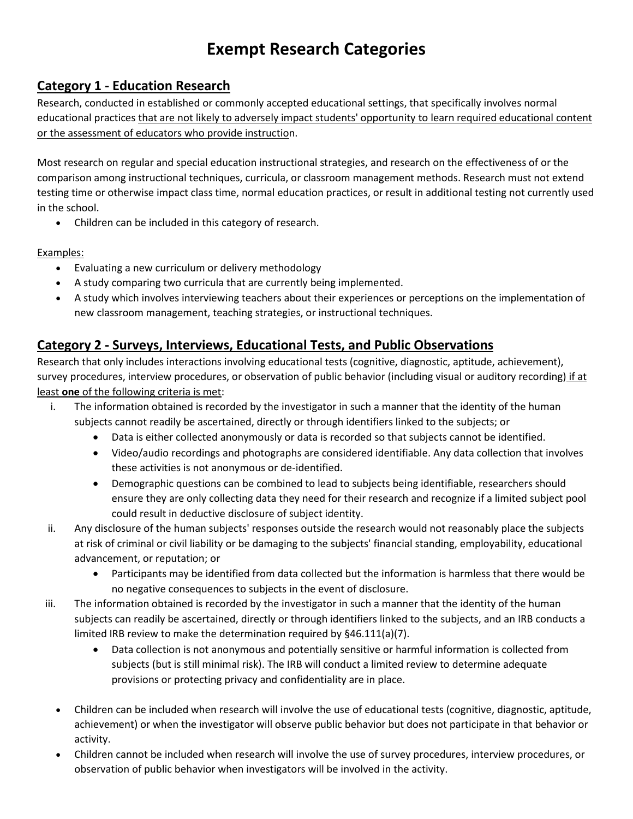# **Exempt Research Categories**

### **Category 1 - Education Research**

Research, conducted in established or commonly accepted educational settings, that specifically involves normal educational practices that are not likely to adversely impact students' opportunity to learn required educational content or the assessment of educators who provide instruction.

Most research on regular and special education instructional strategies, and research on the effectiveness of or the comparison among instructional techniques, curricula, or classroom management methods. Research must not extend testing time or otherwise impact class time, normal education practices, or result in additional testing not currently used in the school.

• Children can be included in this category of research.

Examples:

- Evaluating a new curriculum or delivery methodology
- A study comparing two curricula that are currently being implemented.
- A study which involves interviewing teachers about their experiences or perceptions on the implementation of new classroom management, teaching strategies, or instructional techniques.

## **Category 2 - Surveys, Interviews, Educational Tests, and Public Observations**

Research that only includes interactions involving educational tests (cognitive, diagnostic, aptitude, achievement), survey procedures, interview procedures, or observation of public behavior (including visual or auditory recording) if at least **one** of the following criteria is met:

- i. The information obtained is recorded by the investigator in such a manner that the identity of the human subjects cannot readily be ascertained, directly or through identifiers linked to the subjects; or
	- Data is either collected anonymously or data is recorded so that subjects cannot be identified.
	- Video/audio recordings and photographs are considered identifiable. Any data collection that involves these activities is not anonymous or de-identified.
	- Demographic questions can be combined to lead to subjects being identifiable, researchers should ensure they are only collecting data they need for their research and recognize if a limited subject pool could result in deductive disclosure of subject identity.
- ii. Any disclosure of the human subjects' responses outside the research would not reasonably place the subjects at risk of criminal or civil liability or be damaging to the subjects' financial standing, employability, educational advancement, or reputation; or
	- Participants may be identified from data collected but the information is harmless that there would be no negative consequences to subjects in the event of disclosure.
- iii. The information obtained is recorded by the investigator in such a manner that the identity of the human subjects can readily be ascertained, directly or through identifiers linked to the subjects, and an IRB conducts a limited IRB review to make the determination required by §46.111(a)(7).
	- Data collection is not anonymous and potentially sensitive or harmful information is collected from subjects (but is still minimal risk). The IRB will conduct a limited review to determine adequate provisions or protecting privacy and confidentiality are in place.
	- Children can be included when research will involve the use of educational tests (cognitive, diagnostic, aptitude, achievement) or when the investigator will observe public behavior but does not participate in that behavior or activity.
	- Children cannot be included when research will involve the use of survey procedures, interview procedures, or observation of public behavior when investigators will be involved in the activity.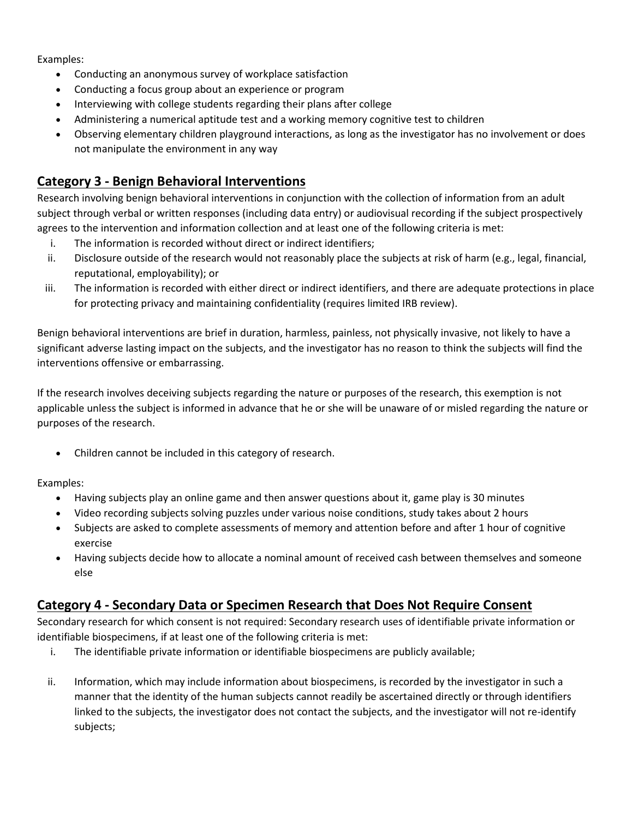Examples:

- Conducting an anonymous survey of workplace satisfaction
- Conducting a focus group about an experience or program
- Interviewing with college students regarding their plans after college
- Administering a numerical aptitude test and a working memory cognitive test to children
- Observing elementary children playground interactions, as long as the investigator has no involvement or does not manipulate the environment in any way

### **Category 3 - Benign Behavioral Interventions**

Research involving benign behavioral interventions in conjunction with the collection of information from an adult subject through verbal or written responses (including data entry) or audiovisual recording if the subject prospectively agrees to the intervention and information collection and at least one of the following criteria is met:

- i. The information is recorded without direct or indirect identifiers;
- ii. Disclosure outside of the research would not reasonably place the subjects at risk of harm (e.g., legal, financial, reputational, employability); or
- iii. The information is recorded with either direct or indirect identifiers, and there are adequate protections in place for protecting privacy and maintaining confidentiality (requires limited IRB review).

Benign behavioral interventions are brief in duration, harmless, painless, not physically invasive, not likely to have a significant adverse lasting impact on the subjects, and the investigator has no reason to think the subjects will find the interventions offensive or embarrassing.

If the research involves deceiving subjects regarding the nature or purposes of the research, this exemption is not applicable unless the subject is informed in advance that he or she will be unaware of or misled regarding the nature or purposes of the research.

• Children cannot be included in this category of research.

Examples:

- Having subjects play an online game and then answer questions about it, game play is 30 minutes
- Video recording subjects solving puzzles under various noise conditions, study takes about 2 hours
- Subjects are asked to complete assessments of memory and attention before and after 1 hour of cognitive exercise
- Having subjects decide how to allocate a nominal amount of received cash between themselves and someone else

#### **Category 4 - Secondary Data or Specimen Research that Does Not Require Consent**

Secondary research for which consent is not required: Secondary research uses of identifiable private information or identifiable biospecimens, if at least one of the following criteria is met:

- i. The identifiable private information or identifiable biospecimens are publicly available;
- ii. Information, which may include information about biospecimens, is recorded by the investigator in such a manner that the identity of the human subjects cannot readily be ascertained directly or through identifiers linked to the subjects, the investigator does not contact the subjects, and the investigator will not re-identify subjects;